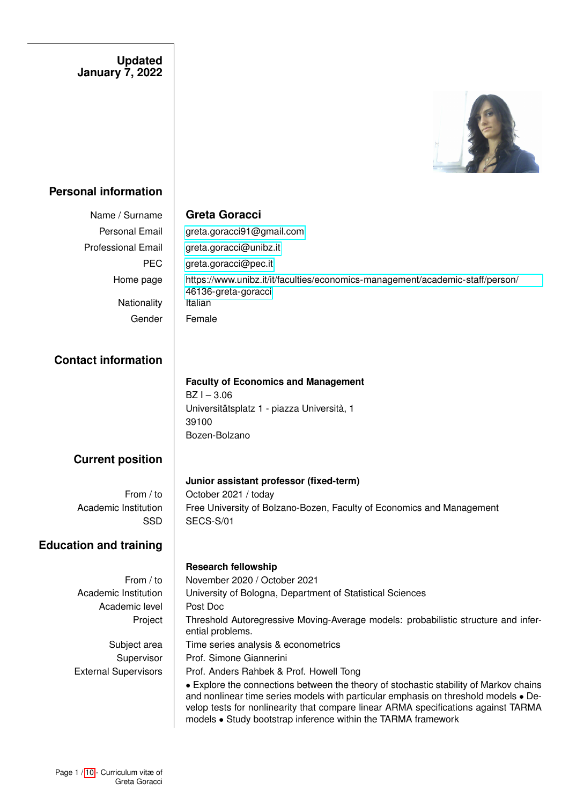

Page 1 / [10](#page-9-0) - Curriculum vitæ of Greta Goracci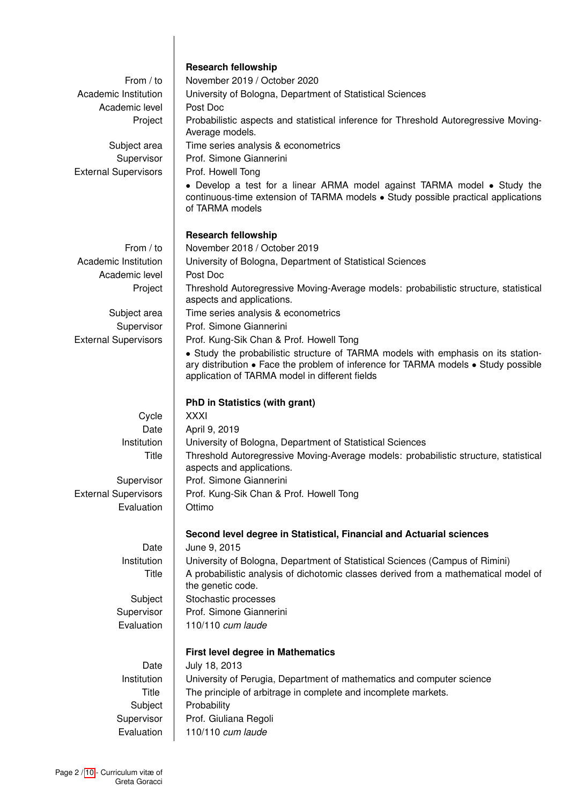|                             | <b>Research fellowship</b>                                                                                                                                                       |
|-----------------------------|----------------------------------------------------------------------------------------------------------------------------------------------------------------------------------|
| From / to                   | November 2019 / October 2020                                                                                                                                                     |
| Academic Institution        | University of Bologna, Department of Statistical Sciences                                                                                                                        |
| Academic level              | Post Doc                                                                                                                                                                         |
| Project                     | Probabilistic aspects and statistical inference for Threshold Autoregressive Moving-<br>Average models.                                                                          |
| Subject area                | Time series analysis & econometrics                                                                                                                                              |
| Supervisor                  | Prof. Simone Giannerini                                                                                                                                                          |
| <b>External Supervisors</b> | Prof. Howell Tong                                                                                                                                                                |
|                             | • Develop a test for a linear ARMA model against TARMA model • Study the<br>continuous-time extension of TARMA models . Study possible practical applications<br>of TARMA models |
|                             | <b>Research fellowship</b>                                                                                                                                                       |
| From / to                   | November 2018 / October 2019                                                                                                                                                     |
| Academic Institution        | University of Bologna, Department of Statistical Sciences                                                                                                                        |
| Academic level              | Post Doc                                                                                                                                                                         |
| Project                     | Threshold Autoregressive Moving-Average models: probabilistic structure, statistical<br>aspects and applications.                                                                |
| Subject area                | Time series analysis & econometrics                                                                                                                                              |
| Supervisor                  | Prof. Simone Giannerini                                                                                                                                                          |
| <b>External Supervisors</b> | Prof. Kung-Sik Chan & Prof. Howell Tong                                                                                                                                          |
|                             | • Study the probabilistic structure of TARMA models with emphasis on its station-                                                                                                |
|                             | ary distribution • Face the problem of inference for TARMA models • Study possible<br>application of TARMA model in different fields                                             |
|                             | <b>PhD in Statistics (with grant)</b>                                                                                                                                            |
| Cycle                       | <b>XXXI</b>                                                                                                                                                                      |
| Date                        | April 9, 2019                                                                                                                                                                    |
| Institution                 | University of Bologna, Department of Statistical Sciences                                                                                                                        |
| Title                       | Threshold Autoregressive Moving-Average models: probabilistic structure, statistical                                                                                             |
|                             | aspects and applications.                                                                                                                                                        |
| Supervisor                  | Prof. Simone Giannerini                                                                                                                                                          |
| <b>External Supervisors</b> | Prof. Kung-Sik Chan & Prof. Howell Tong                                                                                                                                          |
| Evaluation                  | Ottimo                                                                                                                                                                           |
|                             |                                                                                                                                                                                  |
|                             | Second level degree in Statistical, Financial and Actuarial sciences                                                                                                             |
| Date                        | June 9, 2015                                                                                                                                                                     |
| Institution                 | University of Bologna, Department of Statistical Sciences (Campus of Rimini)                                                                                                     |
| Title                       | A probabilistic analysis of dichotomic classes derived from a mathematical model of<br>the genetic code.                                                                         |
| Subject                     | Stochastic processes                                                                                                                                                             |
| Supervisor                  | Prof. Simone Giannerini                                                                                                                                                          |
| Evaluation                  | 110/110 cum laude                                                                                                                                                                |
|                             | <b>First level degree in Mathematics</b>                                                                                                                                         |
| Date                        | July 18, 2013                                                                                                                                                                    |
| Institution                 | University of Perugia, Department of mathematics and computer science                                                                                                            |
| Title                       | The principle of arbitrage in complete and incomplete markets.                                                                                                                   |
| Subject                     | Probability                                                                                                                                                                      |
| Supervisor                  | Prof. Giuliana Regoli                                                                                                                                                            |
| Evaluation                  | 110/110 cum laude                                                                                                                                                                |
|                             |                                                                                                                                                                                  |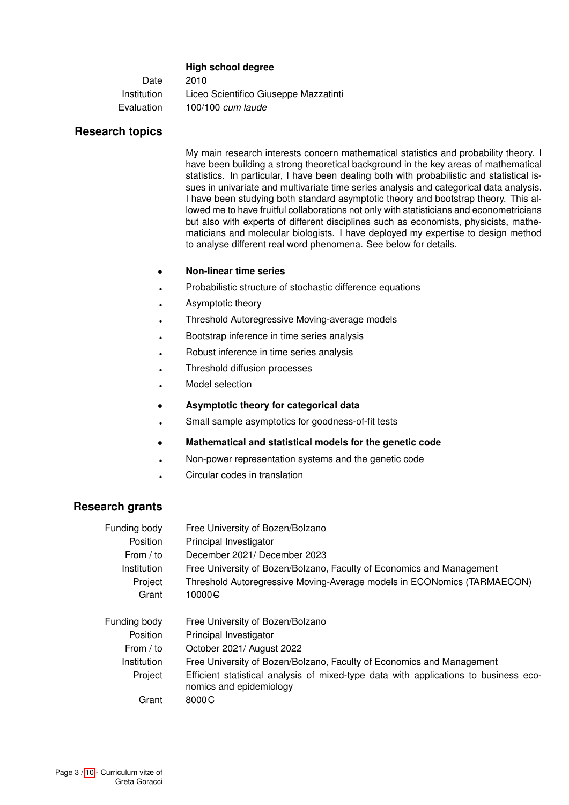### **High school degree**

Date  $\vert$  2010

# Institution | Liceo Scientifico Giuseppe Mazzatinti Evaluation 100/100 *cum laude*

# **Research topics**

My main research interests concern mathematical statistics and probability theory. I have been building a strong theoretical background in the key areas of mathematical statistics. In particular, I have been dealing both with probabilistic and statistical issues in univariate and multivariate time series analysis and categorical data analysis. I have been studying both standard asymptotic theory and bootstrap theory. This allowed me to have fruitful collaborations not only with statisticians and econometricians but also with experts of different disciplines such as economists, physicists, mathematicians and molecular biologists. I have deployed my expertise to design method to analyse different real word phenomena. See below for details.

### • **Non-linear time series**

- Probabilistic structure of stochastic difference equations
- Asymptotic theory
- Threshold Autoregressive Moving-average models
- Bootstrap inference in time series analysis
- Robust inference in time series analysis
- Threshold diffusion processes
- Model selection
- **Asymptotic theory for categorical data**
- Small sample asymptotics for goodness-of-fit tests
- **Mathematical and statistical models for the genetic code**
- Non-power representation systems and the genetic code
- Circular codes in translation

# **Research grants**

| Funding body    | Free University of Bozen/Bolzano                                                     |
|-----------------|--------------------------------------------------------------------------------------|
| Position        | Principal Investigator                                                               |
| From $/$ to     | December 2021/ December 2023                                                         |
| Institution     | Free University of Bozen/Bolzano, Faculty of Economics and Management                |
| Project         | Threshold Autoregressive Moving-Average models in ECONomics (TARMAECON)              |
| Grant           | 10000€                                                                               |
| Funding body    | Free University of Bozen/Bolzano                                                     |
| <b>Position</b> | Principal Investigator                                                               |
| From $/$ to     | October 2021/ August 2022                                                            |
| Institution     | Free University of Bozen/Bolzano, Faculty of Economics and Management                |
| Project         | Efficient statistical analysis of mixed-type data with applications to business eco- |
| Grant           | nomics and epidemiology<br>8000 $\epsilon$                                           |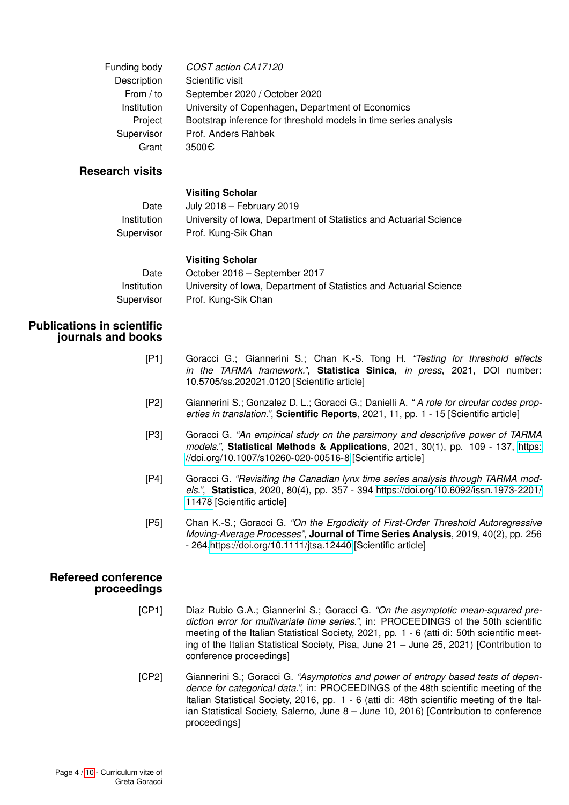| Funding body<br>Description<br>From / to<br>Institution<br>Project<br>Supervisor<br>Grant | COST action CA17120<br>Scientific visit<br>September 2020 / October 2020<br>University of Copenhagen, Department of Economics<br>Bootstrap inference for threshold models in time series analysis<br>Prof. Anders Rahbek<br>3500€                                                                                                                                                            |
|-------------------------------------------------------------------------------------------|----------------------------------------------------------------------------------------------------------------------------------------------------------------------------------------------------------------------------------------------------------------------------------------------------------------------------------------------------------------------------------------------|
| <b>Research visits</b>                                                                    |                                                                                                                                                                                                                                                                                                                                                                                              |
| Date<br>Institution<br>Supervisor                                                         | <b>Visiting Scholar</b><br>July 2018 - February 2019<br>University of Iowa, Department of Statistics and Actuarial Science<br>Prof. Kung-Sik Chan                                                                                                                                                                                                                                            |
| Date<br>Institution<br>Supervisor                                                         | <b>Visiting Scholar</b><br>October 2016 - September 2017<br>University of Iowa, Department of Statistics and Actuarial Science<br>Prof. Kung-Sik Chan                                                                                                                                                                                                                                        |
| <b>Publications in scientific</b><br>journals and books                                   |                                                                                                                                                                                                                                                                                                                                                                                              |
| [P1]                                                                                      | Goracci G.; Giannerini S.; Chan K.-S. Tong H. "Testing for threshold effects<br>in the TARMA framework.", Statistica Sinica, in press, 2021, DOI number:<br>10.5705/ss.202021.0120 [Scientific article]                                                                                                                                                                                      |
| [P2]                                                                                      | Giannerini S.; Gonzalez D. L.; Goracci G.; Danielli A. "A role for circular codes prop-<br>erties in translation.", Scientific Reports, 2021, 11, pp. 1 - 15 [Scientific article]                                                                                                                                                                                                            |
| [P3]                                                                                      | Goracci G. "An empirical study on the parsimony and descriptive power of TARMA<br>models.", Statistical Methods & Applications, 2021, 30(1), pp. 109 - 137, https:<br>//doi.org/10.1007/s10260-020-00516-8 [Scientific article]                                                                                                                                                              |
| [P4]                                                                                      | Goracci G. "Revisiting the Canadian lynx time series analysis through TARMA mod-<br>els.", Statistica, 2020, 80(4), pp. 357 - 394 https://doi.org/10.6092/issn.1973-2201/<br>11478 [Scientific article]                                                                                                                                                                                      |
| [P5]                                                                                      | Chan K.-S.; Goracci G. "On the Ergodicity of First-Order Threshold Autoregressive<br>Moving-Average Processes", Journal of Time Series Analysis, 2019, 40(2), pp. 256<br>- 264, https://doi.org/10.1111/jtsa.12440 [Scientific article]                                                                                                                                                      |
| <b>Refereed conference</b><br>proceedings                                                 |                                                                                                                                                                                                                                                                                                                                                                                              |
| [CP1]                                                                                     | Diaz Rubio G.A.; Giannerini S.; Goracci G. "On the asymptotic mean-squared pre-<br>diction error for multivariate time series.", in: PROCEEDINGS of the 50th scientific<br>meeting of the Italian Statistical Society, 2021, pp. 1 - 6 (atti di: 50th scientific meet-<br>ing of the Italian Statistical Society, Pisa, June 21 - June 25, 2021) [Contribution to<br>conference proceedings] |
| [CP2]                                                                                     | Giannerini S.; Goracci G. "Asymptotics and power of entropy based tests of depen-<br>dence for categorical data.", in: PROCEEDINGS of the 48th scientific meeting of the<br>Italian Statistical Society, 2016, pp. 1 - 6 (atti di: 48th scientific meeting of the Ital-<br>ian Statistical Society, Salerno, June 8 - June 10, 2016) [Contribution to conference<br>proceedings]             |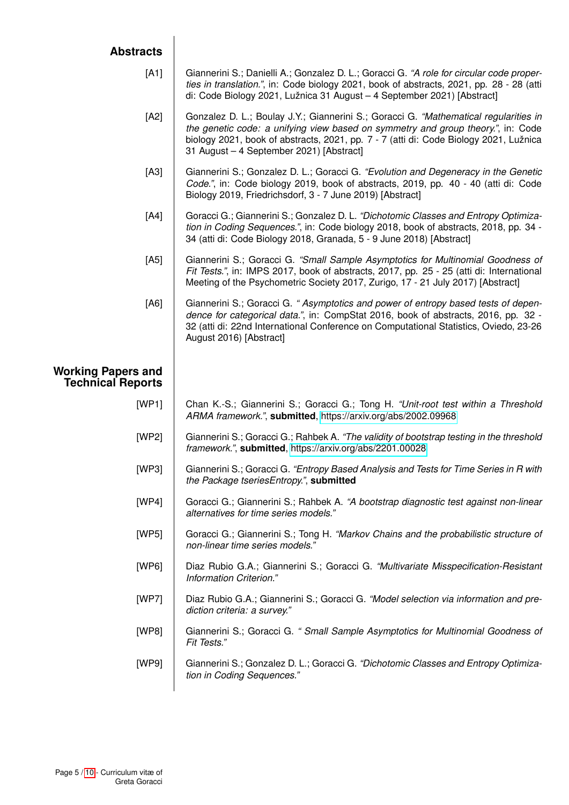| <b>Abstracts</b> |
|------------------|
|------------------|

 $\overline{\phantom{a}}$ 

| [A1]                                                  | Giannerini S.; Danielli A.; Gonzalez D. L.; Goracci G. "A role for circular code proper-<br>ties in translation.", in: Code biology 2021, book of abstracts, 2021, pp. 28 - 28 (atti<br>di: Code Biology 2021, Lužnica 31 August - 4 September 2021) [Abstract]                                               |
|-------------------------------------------------------|---------------------------------------------------------------------------------------------------------------------------------------------------------------------------------------------------------------------------------------------------------------------------------------------------------------|
| [A2]                                                  | Gonzalez D. L.; Boulay J.Y.; Giannerini S.; Goracci G. "Mathematical regularities in<br>the genetic code: a unifying view based on symmetry and group theory.", in: Code<br>biology 2021, book of abstracts, 2021, pp. 7 - 7 (atti di: Code Biology 2021, Lužnica<br>31 August - 4 September 2021) [Abstract] |
| [A3]                                                  | Giannerini S.; Gonzalez D. L.; Goracci G. "Evolution and Degeneracy in the Genetic<br>Code.", in: Code biology 2019, book of abstracts, 2019, pp. 40 - 40 (atti di: Code<br>Biology 2019, Friedrichsdorf, 3 - 7 June 2019) [Abstract]                                                                         |
| [A4]                                                  | Goracci G.; Giannerini S.; Gonzalez D. L. "Dichotomic Classes and Entropy Optimiza-<br>tion in Coding Sequences.", in: Code biology 2018, book of abstracts, 2018, pp. 34 -<br>34 (atti di: Code Biology 2018, Granada, 5 - 9 June 2018) [Abstract]                                                           |
| [A5]                                                  | Giannerini S.; Goracci G. "Small Sample Asymptotics for Multinomial Goodness of<br>Fit Tests.", in: IMPS 2017, book of abstracts, 2017, pp. 25 - 25 (atti di: International<br>Meeting of the Psychometric Society 2017, Zurigo, 17 - 21 July 2017) [Abstract]                                                |
| [A6]                                                  | Giannerini S.; Goracci G. "Asymptotics and power of entropy based tests of depen-<br>dence for categorical data.", in: CompStat 2016, book of abstracts, 2016, pp. 32 -<br>32 (atti di: 22nd International Conference on Computational Statistics, Oviedo, 23-26<br>August 2016) [Abstract]                   |
| <b>Working Papers and</b><br><b>Technical Reports</b> |                                                                                                                                                                                                                                                                                                               |
| [WP1]                                                 | Chan K.-S.; Giannerini S.; Goracci G.; Tong H. "Unit-root test within a Threshold<br>ARMA framework.", submitted, https://arxiv.org/abs/2002.09968                                                                                                                                                            |
| [WP2]                                                 | Giannerini S.; Goracci G.; Rahbek A. "The validity of bootstrap testing in the threshold<br>framework.", submitted, https://arxiv.org/abs/2201.00028                                                                                                                                                          |
| [WP3]                                                 | Giannerini S.; Goracci G. "Entropy Based Analysis and Tests for Time Series in R with<br>the Package tseriesEntropy.", submitted                                                                                                                                                                              |
| [WP4]                                                 | Goracci G.; Giannerini S.; Rahbek A. "A bootstrap diagnostic test against non-linear<br>alternatives for time series models."                                                                                                                                                                                 |
| [WP5]                                                 | Goracci G.; Giannerini S.; Tong H. "Markov Chains and the probabilistic structure of<br>non-linear time series models."                                                                                                                                                                                       |
| [WP6]                                                 | Diaz Rubio G.A.; Giannerini S.; Goracci G. "Multivariate Misspecification-Resistant<br>Information Criterion."                                                                                                                                                                                                |
| [WP7]                                                 | Diaz Rubio G.A.; Giannerini S.; Goracci G. "Model selection via information and pre-<br>diction criteria: a survey."                                                                                                                                                                                          |
|                                                       |                                                                                                                                                                                                                                                                                                               |
| [WP8]                                                 | Giannerini S.; Goracci G. "Small Sample Asymptotics for Multinomial Goodness of<br>Fit Tests."                                                                                                                                                                                                                |
| [WP9]                                                 | Giannerini S.; Gonzalez D. L.; Goracci G. "Dichotomic Classes and Entropy Optimiza-<br>tion in Coding Sequences."                                                                                                                                                                                             |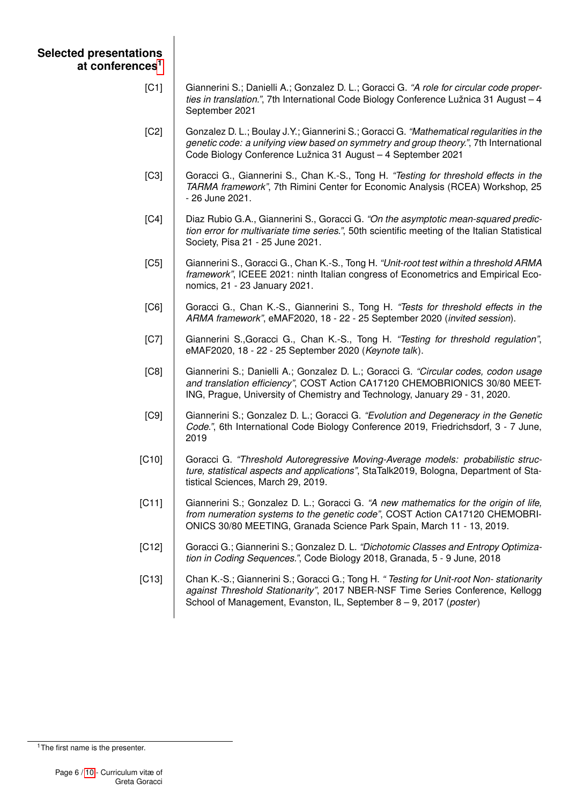# **Selected presentations at conferences[1](#page-5-0)**

- [C1] Giannerini S.; Danielli A.; Gonzalez D. L.; Goracci G. *"A role for circular code properties in translation."*, 7th International Code Biology Conference Lužnica 31 August – 4 September 2021
- [C2] Gonzalez D. L.; Boulay J.Y.; Giannerini S.; Goracci G. *"Mathematical regularities in the genetic code: a unifying view based on symmetry and group theory."*, 7th International Code Biology Conference Lužnica 31 August – 4 September 2021
- [C3] Goracci G., Giannerini S., Chan K.-S., Tong H. *"Testing for threshold effects in the TARMA framework"*, 7th Rimini Center for Economic Analysis (RCEA) Workshop, 25 - 26 June 2021.
- [C4] Diaz Rubio G.A., Giannerini S., Goracci G. *"On the asymptotic mean-squared prediction error for multivariate time series."*, 50th scientific meeting of the Italian Statistical Society, Pisa 21 - 25 June 2021.
- [C5] Giannerini S., Goracci G., Chan K.-S., Tong H. *"Unit-root test within a threshold ARMA framework"*, ICEEE 2021: ninth Italian congress of Econometrics and Empirical Economics, 21 - 23 January 2021.
- [C6] Goracci G., Chan K.-S., Giannerini S., Tong H. *"Tests for threshold effects in the ARMA framework"*, eMAF2020, 18 - 22 - 25 September 2020 (*invited session*).
- [C7] Giannerini S.,Goracci G., Chan K.-S., Tong H. *"Testing for threshold regulation"*, eMAF2020, 18 - 22 - 25 September 2020 (*Keynote talk*).
- [C8] Giannerini S.; Danielli A.; Gonzalez D. L.; Goracci G. *"Circular codes, codon usage and translation efficiency"*, COST Action CA17120 CHEMOBRIONICS 30/80 MEET-ING, Prague, University of Chemistry and Technology, January 29 - 31, 2020.
- [C9] Giannerini S.; Gonzalez D. L.; Goracci G. *"Evolution and Degeneracy in the Genetic Code."*, 6th International Code Biology Conference 2019, Friedrichsdorf, 3 - 7 June, 2019
- [C10] Goracci G. *"Threshold Autoregressive Moving-Average models: probabilistic structure, statistical aspects and applications"*, StaTalk2019, Bologna, Department of Statistical Sciences, March 29, 2019.
- [C11] Giannerini S.; Gonzalez D. L.; Goracci G. *"A new mathematics for the origin of life, from numeration systems to the genetic code"*, COST Action CA17120 CHEMOBRI-ONICS 30/80 MEETING, Granada Science Park Spain, March 11 - 13, 2019.
- [C12] Goracci G.; Giannerini S.; Gonzalez D. L. "Dichotomic Classes and Entropy Optimiza*tion in Coding Sequences."*, Code Biology 2018, Granada, 5 - 9 June, 2018
- [C13] Chan K.-S.; Giannerini S.; Goracci G.; Tong H. *" Testing for Unit-root Non- stationarity against Threshold Stationarity"*, 2017 NBER-NSF Time Series Conference, Kellogg School of Management, Evanston, IL, September 8 – 9, 2017 (*poster*)

<span id="page-5-0"></span><sup>1</sup>The first name is the presenter.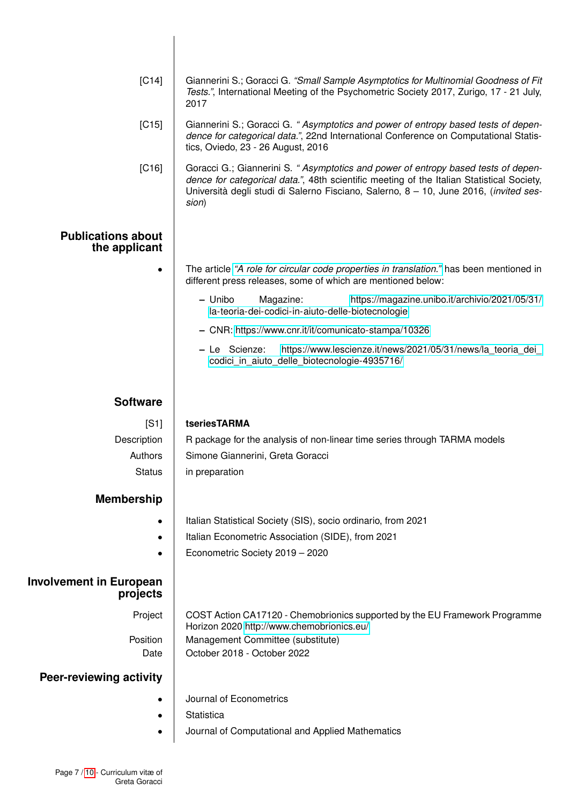| [C14]                                      | Giannerini S.; Goracci G. "Small Sample Asymptotics for Multinomial Goodness of Fit<br>Tests.", International Meeting of the Psychometric Society 2017, Zurigo, 17 - 21 July,<br>2017                                                                                            |
|--------------------------------------------|----------------------------------------------------------------------------------------------------------------------------------------------------------------------------------------------------------------------------------------------------------------------------------|
| [C15]                                      | Giannerini S.; Goracci G. "Asymptotics and power of entropy based tests of depen-<br>dence for categorical data.", 22nd International Conference on Computational Statis-<br>tics, Oviedo, 23 - 26 August, 2016                                                                  |
| [C16]                                      | Goracci G.; Giannerini S. "Asymptotics and power of entropy based tests of depen-<br>dence for categorical data.", 48th scientific meeting of the Italian Statistical Society,<br>Università degli studi di Salerno Fisciano, Salerno, 8 - 10, June 2016, (invited ses-<br>sion) |
| <b>Publications about</b><br>the applicant |                                                                                                                                                                                                                                                                                  |
|                                            | The article "A role for circular code properties in translation." has been mentioned in<br>different press releases, some of which are mentioned below:                                                                                                                          |
|                                            | Magazine:<br>- Unibo<br>https://magazine.unibo.it/archivio/2021/05/31/<br>la-teoria-dei-codici-in-aiuto-delle-biotecnologie                                                                                                                                                      |
|                                            | - CNR: https://www.cnr.it/it/comunicato-stampa/10326                                                                                                                                                                                                                             |
|                                            | https://www.lescienze.it/news/2021/05/31/news/la_teoria_dei_<br>- Le Scienze:<br>codici_in_aiuto_delle_biotecnologie-4935716/                                                                                                                                                    |
| <b>Software</b>                            |                                                                                                                                                                                                                                                                                  |
| [S1]                                       | tseriesTARMA                                                                                                                                                                                                                                                                     |
| Description                                | R package for the analysis of non-linear time series through TARMA models                                                                                                                                                                                                        |
| Authors                                    | Simone Giannerini, Greta Goracci                                                                                                                                                                                                                                                 |
| <b>Status</b>                              | in preparation                                                                                                                                                                                                                                                                   |
| <b>Membership</b>                          |                                                                                                                                                                                                                                                                                  |
|                                            | Italian Statistical Society (SIS), socio ordinario, from 2021                                                                                                                                                                                                                    |
|                                            | Italian Econometric Association (SIDE), from 2021                                                                                                                                                                                                                                |
|                                            | Econometric Society 2019 - 2020                                                                                                                                                                                                                                                  |
| <b>Involvement in European</b><br>projects |                                                                                                                                                                                                                                                                                  |
| Project                                    | COST Action CA17120 - Chemobrionics supported by the EU Framework Programme<br>Horizon 2020 http://www.chemobrionics.eu/                                                                                                                                                         |
| Position                                   | Management Committee (substitute)                                                                                                                                                                                                                                                |
| Date                                       | October 2018 - October 2022                                                                                                                                                                                                                                                      |
| Peer-reviewing activity                    |                                                                                                                                                                                                                                                                                  |
|                                            |                                                                                                                                                                                                                                                                                  |
|                                            | Journal of Econometrics                                                                                                                                                                                                                                                          |
|                                            | Statistica                                                                                                                                                                                                                                                                       |

 $\overline{\phantom{a}}$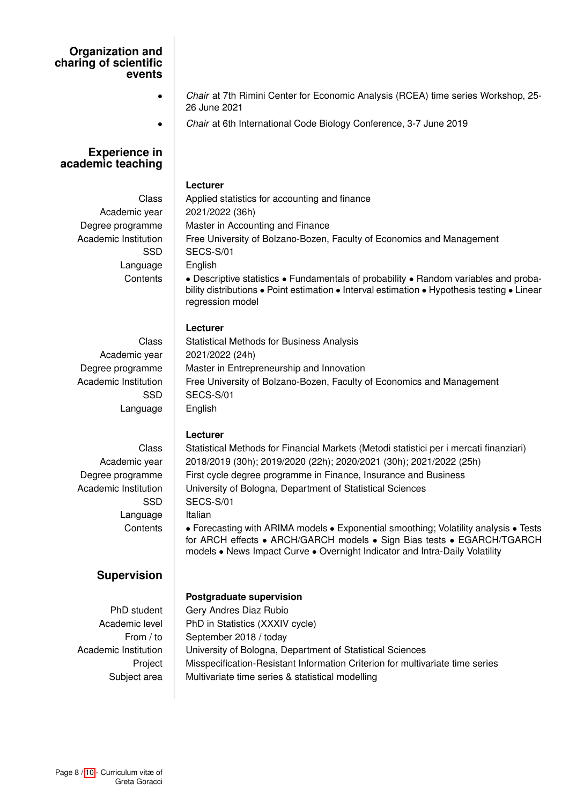#### **Organization and charing of scientific events**

- *Chair* at 7th Rimini Center for Economic Analysis (RCEA) time series Workshop, 25- 26 June 2021
- *Chair* at 6th International Code Biology Conference, 3-7 June 2019

## **Experience in academic teaching**

#### **Lecturer**

Language  $|$  English

 $L$ anguage  $\vert$  English

 $L$ anguage | Italian

# **Supervision**

Class | Applied statistics for accounting and finance Academic year 2021/2022 (36h) Degree programme | Master in Accounting and Finance Academic Institution | Free University of Bolzano-Bozen, Faculty of Economics and Management  $SSD$  | SECS-S/01 Contents • Descriptive statistics • Fundamentals of probability • Random variables and probability distributions • Point estimation • Interval estimation • Hypothesis testing • Linear regression model

**Lecturer**

Class | Statistical Methods for Business Analysis Academic year 2021/2022 (24h) Degree programme | Master in Entrepreneurship and Innovation Academic Institution | Free University of Bolzano-Bozen, Faculty of Economics and Management  $SSD$  | SECS-S/01

# **Lecturer**

Class Statistical Methods for Financial Markets (Metodi statistici per i mercati finanziari) Academic year 2018/2019 (30h); 2019/2020 (22h); 2020/2021 (30h); 2021/2022 (25h) Degree programme First cycle degree programme in Finance, Insurance and Business Academic Institution University of Bologna, Department of Statistical Sciences  $SSD$  | SECS-S/01 Contents • Forecasting with ARIMA models • Exponential smoothing; Volatility analysis • Tests for ARCH effects • ARCH/GARCH models • Sign Bias tests • EGARCH/TGARCH models • News Impact Curve • Overnight Indicator and Intra-Daily Volatility

# **Postgraduate supervision**

PhD student Gery Andres Diaz Rubio Academic level | PhD in Statistics (XXXIV cycle) From / to September 2018 / today Academic Institution | University of Bologna, Department of Statistical Sciences Project | Misspecification-Resistant Information Criterion for multivariate time series Subject area | Multivariate time series & statistical modelling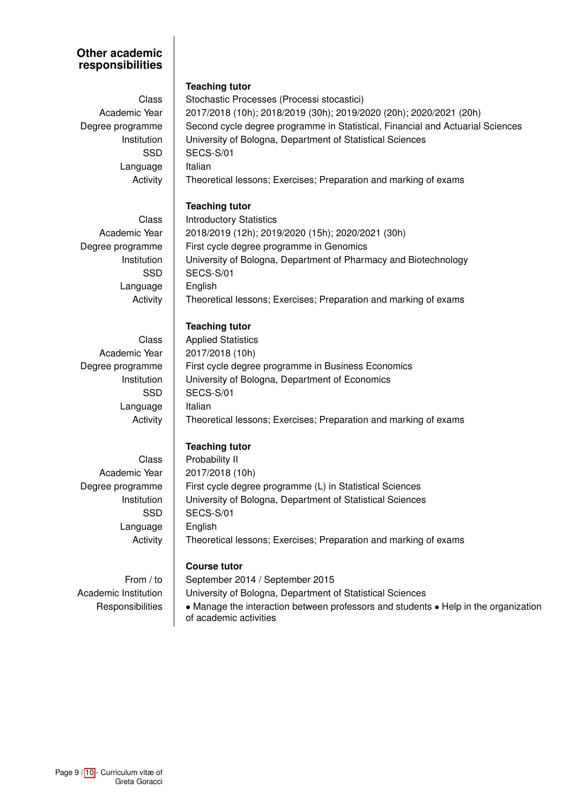### **Other academic responsibilities**

 $L$ anguage | Italian

**Teaching tutor**

Class | Stochastic Processes (Processi stocastici) Academic Year 2017/2018 (10h); 2018/2019 (30h); 2019/2020 (20h); 2020/2021 (20h) Degree programme Second cycle degree programme in Statistical, Financial and Actuarial Sciences Institution | University of Bologna, Department of Statistical Sciences  $SSD$  SECS-S/01 Activity | Theoretical lessons; Exercises; Preparation and marking of exams

# **Teaching tutor**

Language  $|$  English

 $L$ anguage | Italian

 $L$ anguage  $|$  English

Class | Introductory Statistics Academic Year 2018/2019 (12h); 2019/2020 (15h); 2020/2021 (30h) Degree programme First cycle degree programme in Genomics Institution University of Bologna, Department of Pharmacy and Biotechnology  $SSD$  | SECS-S/01 Activity **Theoretical lessons; Exercises; Preparation and marking of exams** 

# **Teaching tutor**

Class | Applied Statistics Academic Year 2017/2018 (10h) Degree programme | First cycle degree programme in Business Economics Institution | University of Bologna, Department of Economics SSD | SECS-S/01 Activity | Theoretical lessons; Exercises; Preparation and marking of exams

# **Teaching tutor**

Class | Probability II Academic Year | 2017/2018 (10h) Degree programme | First cycle degree programme (L) in Statistical Sciences Institution University of Bologna, Department of Statistical Sciences  $SSD$  SECS-S/01 Activity Theoretical lessons; Exercises; Preparation and marking of exams

# **Course tutor**

From / to | September 2014 / September 2015 Academic Institution | University of Bologna, Department of Statistical Sciences Responsibilities • Manage the interaction between professors and students • Help in the organization of academic activities